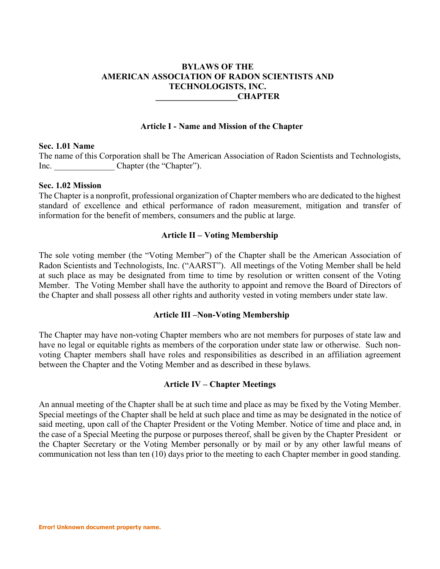# **BYLAWS OF THE AMERICAN ASSOCIATION OF RADON SCIENTISTS AND TECHNOLOGISTS, INC. \_\_\_\_\_\_\_\_\_\_\_\_\_\_\_\_\_\_\_CHAPTER**

#### **Article I - Name and Mission of the Chapter**

### **Sec. 1.01 Name**

The name of this Corporation shall be The American Association of Radon Scientists and Technologists, Inc. Chapter (the "Chapter").

## **Sec. 1.02 Mission**

The Chapter is a nonprofit, professional organization of Chapter members who are dedicated to the highest standard of excellence and ethical performance of radon measurement, mitigation and transfer of information for the benefit of members, consumers and the public at large.

### **Article II – Voting Membership**

The sole voting member (the "Voting Member") of the Chapter shall be the American Association of Radon Scientists and Technologists, Inc. ("AARST"). All meetings of the Voting Member shall be held at such place as may be designated from time to time by resolution or written consent of the Voting Member. The Voting Member shall have the authority to appoint and remove the Board of Directors of the Chapter and shall possess all other rights and authority vested in voting members under state law.

#### **Article III –Non-Voting Membership**

The Chapter may have non-voting Chapter members who are not members for purposes of state law and have no legal or equitable rights as members of the corporation under state law or otherwise. Such nonvoting Chapter members shall have roles and responsibilities as described in an affiliation agreement between the Chapter and the Voting Member and as described in these bylaws.

### **Article IV – Chapter Meetings**

An annual meeting of the Chapter shall be at such time and place as may be fixed by the Voting Member. Special meetings of the Chapter shall be held at such place and time as may be designated in the notice of said meeting, upon call of the Chapter President or the Voting Member. Notice of time and place and, in the case of a Special Meeting the purpose or purposes thereof, shall be given by the Chapter President or the Chapter Secretary or the Voting Member personally or by mail or by any other lawful means of communication not less than ten (10) days prior to the meeting to each Chapter member in good standing.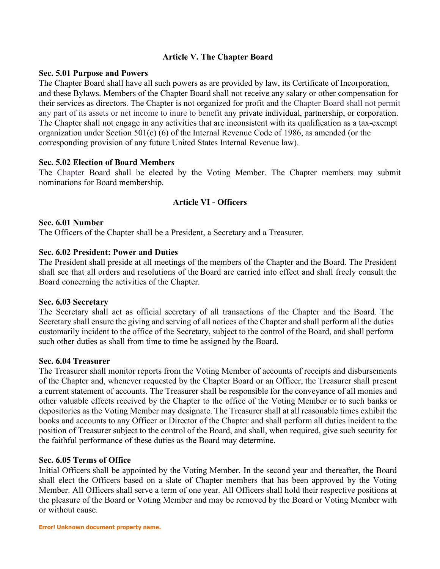# **Article V. The Chapter Board**

## **Sec. 5.01 Purpose and Powers**

The Chapter Board shall have all such powers as are provided by law, its Certificate of Incorporation, and these Bylaws. Members of the Chapter Board shall not receive any salary or other compensation for their services as directors. The Chapter is not organized for profit and the Chapter Board shall not permit any part of its assets or net income to inure to benefit any private individual, partnership, or corporation. The Chapter shall not engage in any activities that are inconsistent with its qualification as a tax-exempt organization under Section 501(c) (6) of the Internal Revenue Code of 1986, as amended (or the corresponding provision of any future United States Internal Revenue law).

## **Sec. 5.02 Election of Board Members**

The Chapter Board shall be elected by the Voting Member. The Chapter members may submit nominations for Board membership.

## **Article VI - Officers**

#### **Sec. 6.01 Number**

The Officers of the Chapter shall be a President, a Secretary and a Treasurer.

### **Sec. 6.02 President: Power and Duties**

The President shall preside at all meetings of the members of the Chapter and the Board. The President shall see that all orders and resolutions of the Board are carried into effect and shall freely consult the Board concerning the activities of the Chapter.

#### **Sec. 6.03 Secretary**

The Secretary shall act as official secretary of all transactions of the Chapter and the Board. The Secretary shall ensure the giving and serving of all notices of the Chapter and shall perform all the duties customarily incident to the office of the Secretary, subject to the control of the Board, and shall perform such other duties as shall from time to time be assigned by the Board.

#### **Sec. 6.04 Treasurer**

The Treasurer shall monitor reports from the Voting Member of accounts of receipts and disbursements of the Chapter and, whenever requested by the Chapter Board or an Officer, the Treasurer shall present a current statement of accounts. The Treasurer shall be responsible for the conveyance of all monies and other valuable effects received by the Chapter to the office of the Voting Member or to such banks or depositories as the Voting Member may designate. The Treasurer shall at all reasonable times exhibit the books and accounts to any Officer or Director of the Chapter and shall perform all duties incident to the position of Treasurer subject to the control of the Board, and shall, when required, give such security for the faithful performance of these duties as the Board may determine.

#### **Sec. 6.05 Terms of Office**

Initial Officers shall be appointed by the Voting Member. In the second year and thereafter, the Board shall elect the Officers based on a slate of Chapter members that has been approved by the Voting Member. All Officers shall serve a term of one year. All Officers shall hold their respective positions at the pleasure of the Board or Voting Member and may be removed by the Board or Voting Member with or without cause.